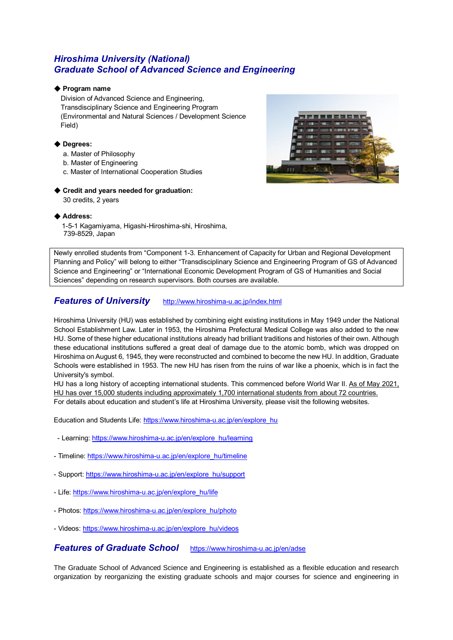# *Hiroshima University (National) Graduate School of Advanced Science and Engineering*

### ◆ **Program name**

Division of Advanced Science and Engineering, Transdisciplinary Science and Engineering Program (Environmental and Natural Sciences / Development Science Field)

### ◆ **Degrees:**

- a. Master of Philosophy
- b. Master of Engineering
- c. Master of International Cooperation Studies

### ◆ Credit and vears needed for graduation:

30 credits, 2 years



#### ◆ **Address:**

1-5-1 Kagamiyama, Higashi-Hiroshima-shi, Hiroshima, 739-8529, Japan

Newly enrolled students from "Component 1-3. Enhancement of Capacity for Urban and Regional Development Planning and Policy" will belong to either "Transdisciplinary Science and Engineering Program of GS of Advanced Science and Engineering" or "International Economic Development Program of GS of Humanities and Social Sciences" depending on research supervisors. Both courses are available.

## *Features of University* <http://www.hiroshima-u.ac.jp/index.html>

Hiroshima University (HU) was established by combining eight existing institutions in May 1949 under the National School Establishment Law. Later in 1953, the Hiroshima Prefectural Medical College was also added to the new HU. Some of these higher educational institutions already had brilliant traditions and histories of their own. Although these educational institutions suffered a great deal of damage due to the atomic bomb, which was dropped on Hiroshima on August 6, 1945, they were reconstructed and combined to become the new HU. In addition, Graduate Schools were established in 1953. The new HU has risen from the ruins of war like a phoenix, which is in fact the University's symbol.

HU has a long history of accepting international students. This commenced before World War II. As of May 2021, HU has over 15,000 students including approximately 1,700 international students from about 72 countries. For details about education and student's life at Hiroshima University, please visit the following websites.

Education and Students Life: [https://www.hiroshima-u.ac.jp/en/explore\\_hu](https://www.hiroshima-u.ac.jp/en/explore_hu)

- Learning: [https://www.hiroshima-u.ac.jp/en/explore\\_hu/learning](https://www.hiroshima-u.ac.jp/en/explore_hu/learning)
- Timeline: [https://www.hiroshima-u.ac.jp/en/explore\\_hu/timeline](https://www.hiroshima-u.ac.jp/en/explore_hu/timeline)
- Support: [https://www.hiroshima-u.ac.jp/en/explore\\_hu/support](https://www.hiroshima-u.ac.jp/en/explore_hu/support)
- Life: [https://www.hiroshima-u.ac.jp/en/explore\\_hu/life](https://www.hiroshima-u.ac.jp/en/explore_hu/life)
- Photos: [https://www.hiroshima-u.ac.jp/en/explore\\_hu/photo](https://www.hiroshima-u.ac.jp/en/explore_hu/photo)
- Videos: [https://www.hiroshima-u.ac.jp/en/explore\\_hu/videos](https://www.hiroshima-u.ac.jp/en/explore_hu/videos)

## *Features of Graduate School* <https://www.hiroshima-u.ac.jp/en/adse>

The Graduate School of Advanced Science and Engineering is established as a flexible education and research organization by reorganizing the existing graduate schools and major courses for science and engineering in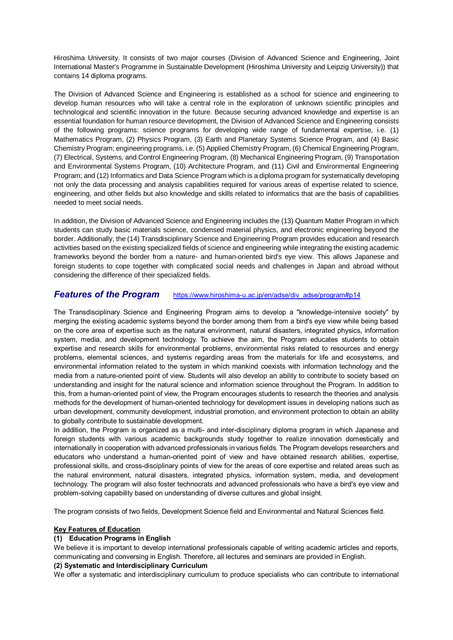Hiroshima University. It consists of two major courses (Division of Advanced Science and Engineering, Joint International Master's Programme in Sustainable Development (Hiroshima University and Leipzig University)) that contains 14 diploma programs.

The Division of Advanced Science and Engineering is established as a school for science and engineering to develop human resources who will take a central role in the exploration of unknown scientific principles and technological and scientific innovation in the future. Because securing advanced knowledge and expertise is an essential foundation for human resource development, the Division of Advanced Science and Engineering consists of the following programs: science programs for developing wide range of fundamental expertise, i.e. (1) Mathematics Program, (2) Physics Program, (3) Earth and Planetary Systems Science Program, and (4) Basic Chemistry Program; engineering programs, i.e. (5) Applied Chemistry Program, (6) Chemical Engineering Program, (7) Electrical, Systems, and Control Engineering Program, (8) Mechanical Engineering Program, (9) Transportation and Environmental Systems Program, (10) Architecture Program, and (11) Civil and Environmental Engineering Program; and (12) Informatics and Data Science Program which is a diploma program for systematically developing not only the data processing and analysis capabilities required for various areas of expertise related to science, engineering, and other fields but also knowledge and skills related to informatics that are the basis of capabilities needed to meet social needs.

In addition, the Division of Advanced Science and Engineering includes the (13) Quantum Matter Program in which students can study basic materials science, condensed material physics, and electronic engineering beyond the border. Additionally, the (14) Transdisciplinary Science and Engineering Program provides education and research activities based on the existing specialized fields of science and engineering while integrating the existing academic frameworks beyond the border from a nature- and human-oriented bird's eye view. This allows Japanese and foreign students to cope together with complicated social needs and challenges in Japan and abroad without considering the difference of their specialized fields.

## **Features of the Program** [https://www.hiroshima-u.ac.jp/en/adse/div\\_adse/program#p14](https://www.hiroshima-u.ac.jp/en/adse/div_adse/program#p14)

The Transdisciplinary Science and Engineering Program aims to develop a "knowledge-intensive society" by merging the existing academic systems beyond the border among them from a bird's eye view while being based on the core area of expertise such as the natural environment, natural disasters, integrated physics, information system, media, and development technology. To achieve the aim, the Program educates students to obtain expertise and research skills for environmental problems, environmental risks related to resources and energy problems, elemental sciences, and systems regarding areas from the materials for life and ecosystems, and environmental information related to the system in which mankind coexists with information technology and the media from a nature-oriented point of view. Students will also develop an ability to contribute to society based on understanding and insight for the natural science and information science throughout the Program. In addition to this, from a human-oriented point of view, the Program encourages students to research the theories and analysis methods for the development of human-oriented technology for development issues in developing nations such as urban development, community development, industrial promotion, and environment protection to obtain an ability to globally contribute to sustainable development.

In addition, the Program is organized as a multi- and inter-disciplinary diploma program in which Japanese and foreign students with various academic backgrounds study together to realize innovation domestically and internationally in cooperation with advanced professionals in various fields. The Program develops researchers and educators who understand a human-oriented point of view and have obtained research abilities, expertise, professional skills, and cross-disciplinary points of view for the areas of core expertise and related areas such as the natural environment, natural disasters, integrated physics, information system, media, and development technology. The program will also foster technocrats and advanced professionals who have a bird's eye view and problem-solving capability based on understanding of diverse cultures and global insight.

The program consists of two fields, Development Science field and Environmental and Natural Sciences field.

#### **Key Features of Education**

#### **(1) Education Programs in English**

We believe it is important to develop international professionals capable of writing academic articles and reports, communicating and conversing in English. Therefore, all lectures and seminars are provided in English.

#### **(2) Systematic and Interdisciplinary Curriculum**

We offer a systematic and interdisciplinary curriculum to produce specialists who can contribute to international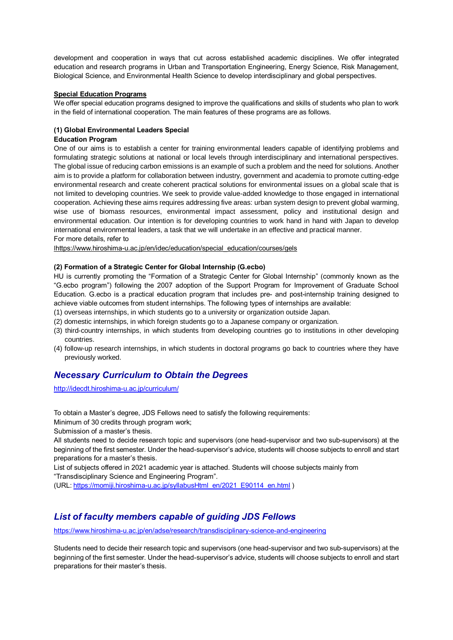development and cooperation in ways that cut across established academic disciplines. We offer integrated education and research programs in Urban and Transportation Engineering, Energy Science, Risk Management, Biological Science, and Environmental Health Science to develop interdisciplinary and global perspectives.

#### **Special Education Programs**

We offer special education programs designed to improve the qualifications and skills of students who plan to work in the field of international cooperation. The main features of these programs are as follows.

### **(1) Global Environmental Leaders Special**

#### **Education Program**

One of our aims is to establish a center for training environmental leaders capable of identifying problems and formulating strategic solutions at national or local levels through interdisciplinary and international perspectives. The global issue of reducing carbon emissions is an example of such a problem and the need for solutions. Another aim is to provide a platform for collaboration between industry, government and academia to promote cutting-edge environmental research and create coherent practical solutions for environmental issues on a global scale that is not limited to developing countries. We seek to provide value-added knowledge to those engaged in international cooperation. Achieving these aims requires addressing five areas: urban system design to prevent global warming, wise use of biomass resources, environmental impact assessment, policy and institutional design and environmental education. Our intention is for developing countries to work hand in hand with Japan to develop international environmental leaders, a task that we will undertake in an effective and practical manner. For more details, refer to

[l](http://www.hiroshima-u.ac.jp/en/idec/education/p_mxj8jd.html)[https://www.hiroshima-u.ac.jp/en/idec/education/special\\_education/courses/gels](http://www.hiroshima-u.ac.jp/en/idec/education/p_mxj8jd.html)

#### **(2) Formation of a Strategic Center for Global Internship (G.ecbo)**

HU is currently promoting the "Formation of a Strategic Center for Global Internship" (commonly known as the "G.ecbo program") following the 2007 adoption of the Support Program for Improvement of Graduate School Education. G.ecbo is a practical education program that includes pre- and post-internship training designed to achieve viable outcomes from student internships. The following types of internships are available:

(1) overseas internships, in which students go to a university or organization outside Japan.

(2) domestic internships, in which foreign students go to a Japanese company or organization.

- (3) third-country internships, in which students from developing countries go to institutions in other developing countries.
- (4) follow-up research internships, in which students in doctoral programs go back to countries where they have previously worked.

## *Necessary Curriculum to Obtain the Degrees*

<http://idecdt.hiroshima-u.ac.jp/curriculum/>

To obtain a Master's degree, JDS Fellows need to satisfy the following requirements:

Minimum of 30 credits through program work;

Submission of a master's thesis.

All students need to decide research topic and supervisors (one head-supervisor and two sub-supervisors) at the beginning of the first semester. Under the head-supervisor's advice, students will choose subjects to enroll and start preparations for a master's thesis.

List of subjects offered in 2021 academic year is attached. Students will choose subjects mainly from "Transdisciplinary Science and Engineering Program".

(URL: [https://momiji.hiroshima-u.ac.jp/syllabusHtml\\_en/2021\\_E90114\\_en.html](https://momiji.hiroshima-u.ac.jp/syllabusHtml_en/2021_E90114_en.html) )

# *List of faculty members capable of guiding JDS Fellows*

<https://www.hiroshima-u.ac.jp/en/adse/research/transdisciplinary-science-and-engineering>

Students need to decide their research topic and supervisors (one head-supervisor and two sub-supervisors) at the beginning of the first semester. Under the head-supervisor's advice, students will choose subjects to enroll and start preparations for their master's thesis.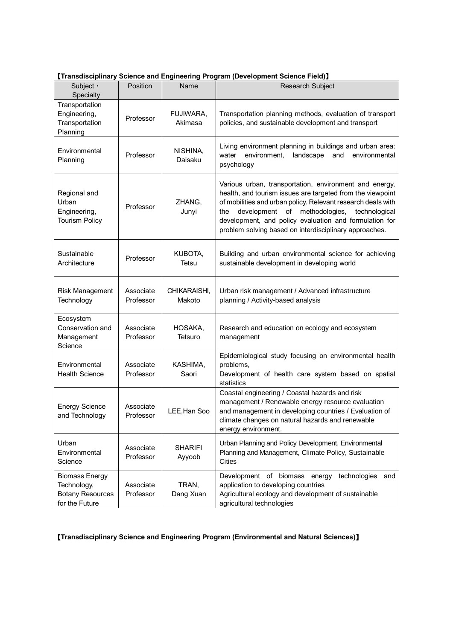| 【Transdisciplinary Science and Engineering Program (Development Science Field)】 |  |  |
|---------------------------------------------------------------------------------|--|--|
|                                                                                 |  |  |

| Subject -<br>Specialty                                                            | <b>Position</b>        | Name                     | <b>Transaroupmany Solution and Engineering Fregram (Beverephonent Solution From /</b><br><b>Research Subject</b>                                                                                                                                                                                                                                                  |  |
|-----------------------------------------------------------------------------------|------------------------|--------------------------|-------------------------------------------------------------------------------------------------------------------------------------------------------------------------------------------------------------------------------------------------------------------------------------------------------------------------------------------------------------------|--|
| Transportation<br>Engineering,<br>Transportation<br>Planning                      | Professor              | FUJIWARA,<br>Akimasa     | Transportation planning methods, evaluation of transport<br>policies, and sustainable development and transport                                                                                                                                                                                                                                                   |  |
| Environmental<br>Planning                                                         | Professor              | NISHINA,<br>Daisaku      | Living environment planning in buildings and urban area:<br>environment,<br>landscape<br>and<br>environmental<br>water<br>psychology                                                                                                                                                                                                                              |  |
| Regional and<br>Urban<br>Engineering,<br><b>Tourism Policy</b>                    | Professor              | ZHANG,<br>Junyi          | Various urban, transportation, environment and energy,<br>health, and tourism issues are targeted from the viewpoint<br>of mobilities and urban policy. Relevant research deals with<br>development of methodologies,<br>technological<br>the<br>development, and policy evaluation and formulation for<br>problem solving based on interdisciplinary approaches. |  |
| Sustainable<br>Architecture                                                       | Professor              | KUBOTA,<br>Tetsu         | Building and urban environmental science for achieving<br>sustainable development in developing world                                                                                                                                                                                                                                                             |  |
| <b>Risk Management</b><br>Technology                                              | Associate<br>Professor | CHIKARAISHI,<br>Makoto   | Urban risk management / Advanced infrastructure<br>planning / Activity-based analysis                                                                                                                                                                                                                                                                             |  |
| Ecosystem<br>Conservation and<br>Management<br>Science                            | Associate<br>Professor | HOSAKA,<br>Tetsuro       | Research and education on ecology and ecosystem<br>management                                                                                                                                                                                                                                                                                                     |  |
| Environmental<br><b>Health Science</b>                                            | Associate<br>Professor | KASHIMA,<br>Saori        | Epidemiological study focusing on environmental health<br>problems,<br>Development of health care system based on spatial<br>statistics                                                                                                                                                                                                                           |  |
| <b>Energy Science</b><br>and Technology                                           | Associate<br>Professor | LEE, Han Soo             | Coastal engineering / Coastal hazards and risk<br>management / Renewable energy resource evaluation<br>and management in developing countries / Evaluation of<br>climate changes on natural hazards and renewable<br>energy environment.                                                                                                                          |  |
| Urban<br>Environmental<br>Science                                                 | Associate<br>Professor | <b>SHARIFI</b><br>Ayyoob | Urban Planning and Policy Development, Environmental<br>Planning and Management, Climate Policy, Sustainable<br>Cities                                                                                                                                                                                                                                            |  |
| <b>Biomass Energy</b><br>Technology,<br><b>Botany Resources</b><br>for the Future | Associate<br>Professor | TRAN,<br>Dang Xuan       | Development of biomass<br>technologies<br>energy<br>and<br>application to developing countries<br>Agricultural ecology and development of sustainable<br>agricultural technologies                                                                                                                                                                                |  |

【**Transdisciplinary Science and Engineering Program (Environmental and Natural Sciences)**】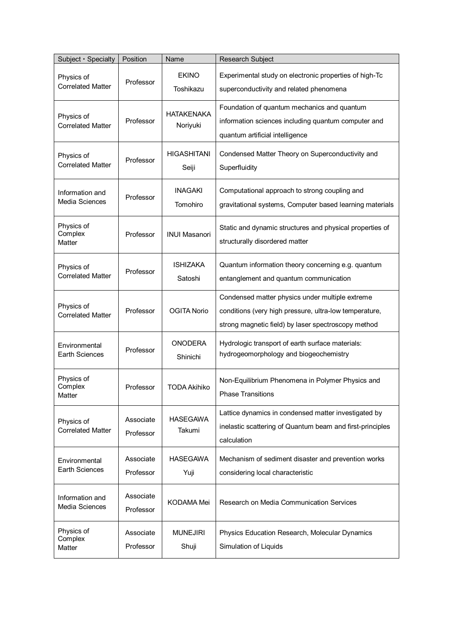| Subject · Specialty                      | Position               | Name                          | Research Subject                                                                                                                                                 |
|------------------------------------------|------------------------|-------------------------------|------------------------------------------------------------------------------------------------------------------------------------------------------------------|
| Physics of<br><b>Correlated Matter</b>   | Professor              | <b>EKINO</b><br>Toshikazu     | Experimental study on electronic properties of high-Tc<br>superconductivity and related phenomena                                                                |
| Physics of<br><b>Correlated Matter</b>   | Professor              | <b>HATAKENAKA</b><br>Noriyuki | Foundation of quantum mechanics and quantum<br>information sciences including quantum computer and<br>quantum artificial intelligence                            |
| Physics of<br><b>Correlated Matter</b>   | Professor              | <b>HIGASHITANI</b><br>Seiji   | Condensed Matter Theory on Superconductivity and<br>Superfluidity                                                                                                |
| Information and<br><b>Media Sciences</b> | Professor              | <b>INAGAKI</b><br>Tomohiro    | Computational approach to strong coupling and<br>gravitational systems, Computer based learning materials                                                        |
| Physics of<br>Complex<br>Matter          | Professor              | <b>INUI Masanori</b>          | Static and dynamic structures and physical properties of<br>structurally disordered matter                                                                       |
| Physics of<br><b>Correlated Matter</b>   | Professor              | <b>ISHIZAKA</b><br>Satoshi    | Quantum information theory concerning e.g. quantum<br>entanglement and quantum communication                                                                     |
| Physics of<br><b>Correlated Matter</b>   | Professor              | <b>OGITA Norio</b>            | Condensed matter physics under multiple extreme<br>conditions (very high pressure, ultra-low temperature,<br>strong magnetic field) by laser spectroscopy method |
| Environmental<br><b>Earth Sciences</b>   | Professor              | <b>ONODERA</b><br>Shinichi    | Hydrologic transport of earth surface materials:<br>hydrogeomorphology and biogeochemistry                                                                       |
| Physics of<br>Complex<br>Matter          | Professor              | <b>TODA Akihiko</b>           | Non-Equilibrium Phenomena in Polymer Physics and<br><b>Phase Transitions</b>                                                                                     |
| Physics of<br><b>Correlated Matter</b>   | Associate<br>Professor | <b>HASEGAWA</b><br>Takumi     | Lattice dynamics in condensed matter investigated by<br>inelastic scattering of Quantum beam and first-principles<br>calculation                                 |
| Environmental<br><b>Earth Sciences</b>   | Associate<br>Professor | <b>HASEGAWA</b><br>Yuji       | Mechanism of sediment disaster and prevention works<br>considering local characteristic                                                                          |
| Information and<br>Media Sciences        | Associate<br>Professor | <b>KODAMA Mei</b>             | Research on Media Communication Services                                                                                                                         |
| Physics of<br>Complex<br>Matter          | Associate<br>Professor | <b>MUNEJIRI</b><br>Shuji      | Physics Education Research, Molecular Dynamics<br>Simulation of Liquids                                                                                          |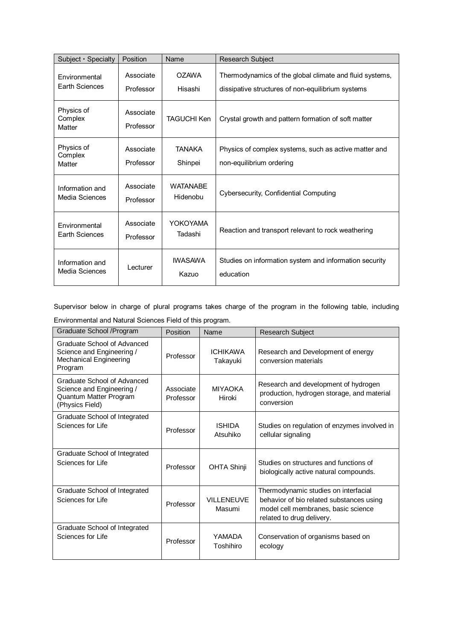| Subject · Specialty                                                       | Position               | Name                        | Research Subject                                                                                             |
|---------------------------------------------------------------------------|------------------------|-----------------------------|--------------------------------------------------------------------------------------------------------------|
| Environmental<br><b>Earth Sciences</b>                                    | Associate<br>Professor | <b>OZAWA</b><br>Hisashi     | Thermodynamics of the global climate and fluid systems,<br>dissipative structures of non-equilibrium systems |
| Physics of<br>Complex<br>Matter                                           | Associate<br>Professor | <b>TAGUCHI Ken</b>          | Crystal growth and pattern formation of soft matter                                                          |
| Physics of<br>Complex<br>Matter                                           | Associate<br>Professor | <b>TANAKA</b><br>Shinpei    | Physics of complex systems, such as active matter and<br>non-equilibrium ordering                            |
| Information and<br>Media Sciences                                         | Associate<br>Professor | <b>WATANABF</b><br>Hidenobu | Cybersecurity, Confidential Computing                                                                        |
| Environmental<br><b>Earth Sciences</b>                                    | Associate<br>Professor | YOKOYAMA<br>Tadashi         | Reaction and transport relevant to rock weathering                                                           |
| <b>IWASAWA</b><br>Information and<br>I ecturer<br>Media Sciences<br>Kazuo |                        |                             | Studies on information system and information security<br>education                                          |

Supervisor below in charge of plural programs takes charge of the program in the following table, including Environmental and Natural Sciences Field of this program.

| Graduate School / Program                                                                             | Position               | Name                        | <b>Research Subject</b>                                                                                                                              |
|-------------------------------------------------------------------------------------------------------|------------------------|-----------------------------|------------------------------------------------------------------------------------------------------------------------------------------------------|
| Graduate School of Advanced<br>Science and Engineering /<br>Mechanical Engineering<br>Program         | Professor              | <b>ICHIKAWA</b><br>Takayuki | Research and Development of energy<br>conversion materials                                                                                           |
| Graduate School of Advanced<br>Science and Engineering /<br>Quantum Matter Program<br>(Physics Field) | Associate<br>Professor | <b>MIYAOKA</b><br>Hiroki    | Research and development of hydrogen<br>production, hydrogen storage, and material<br>conversion                                                     |
| Graduate School of Integrated<br>Sciences for Life                                                    | Professor              | <b>ISHIDA</b><br>Atsuhiko   | Studies on regulation of enzymes involved in<br>cellular signaling                                                                                   |
| Graduate School of Integrated<br>Sciences for Life                                                    | Professor              | <b>OHTA Shinji</b>          | Studies on structures and functions of<br>biologically active natural compounds.                                                                     |
| Graduate School of Integrated<br>Sciences for Life                                                    | Professor              | <b>VILLENEUVE</b><br>Masumi | Thermodynamic studies on interfacial<br>behavior of bio related substances using<br>model cell membranes, basic science<br>related to drug delivery. |
| Graduate School of Integrated<br>Sciences for Life                                                    | Professor              | YAMADA<br>Toshihiro         | Conservation of organisms based on<br>ecology                                                                                                        |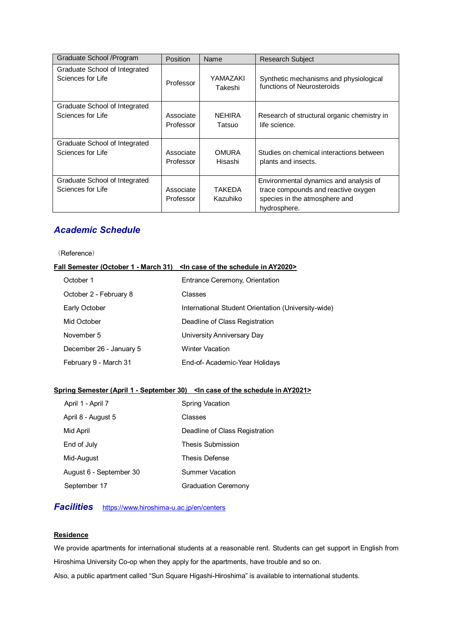| Graduate School / Program                          | <b>Position</b>        | Name               | <b>Research Subject</b>                                                                                                        |
|----------------------------------------------------|------------------------|--------------------|--------------------------------------------------------------------------------------------------------------------------------|
| Graduate School of Integrated                      | Professor              | YAMAZAKI           | Synthetic mechanisms and physiological                                                                                         |
| Sciences for Life                                  |                        | Takeshi            | functions of Neurosteroids                                                                                                     |
| Graduate School of Integrated                      | Associate              | <b>NEHIRA</b>      | Research of structural organic chemistry in                                                                                    |
| Sciences for Life                                  | Professor              | Tatsuo             | life science.                                                                                                                  |
| Graduate School of Integrated                      | Associate              | <b>OMURA</b>       | Studies on chemical interactions between                                                                                       |
| Sciences for Life                                  | Professor              | Hisashi            | plants and insects.                                                                                                            |
| Graduate School of Integrated<br>Sciences for Life | Associate<br>Professor | TAKEDA<br>Kazuhiko | Environmental dynamics and analysis of<br>trace compounds and reactive oxygen<br>species in the atmosphere and<br>hydrosphere. |

# *Academic Schedule*

(Reference)

#### Fall Semester (October 1 - March 31) <In case of the schedule in AY2020>

| October 1               | Entrance Ceremony, Orientation                      |
|-------------------------|-----------------------------------------------------|
| October 2 - February 8  | Classes                                             |
| Early October           | International Student Orientation (University-wide) |
| Mid October             | Deadline of Class Registration                      |
| November 5              | University Anniversary Day                          |
| December 26 - January 5 | <b>Winter Vacation</b>                              |
| February 9 - March 31   | End-of-Academic-Year Holidays                       |

## **Spring Semester (April 1 - September 30) <In case of the schedule in AY2021>**

| April 1 - April 7       | <b>Spring Vacation</b>         |
|-------------------------|--------------------------------|
| April 8 - August 5      | Classes                        |
| Mid April               | Deadline of Class Registration |
| End of July             | Thesis Submission              |
| Mid-August              | <b>Thesis Defense</b>          |
| August 6 - September 30 | Summer Vacation                |
| September 17            | <b>Graduation Ceremony</b>     |

# *Facilities* <https://www.hiroshima-u.ac.jp/en/centers>

#### **Residence**

We provide apartments for international students at a reasonable rent. Students can get support in English from Hiroshima University Co-op when they apply for the apartments, have trouble and so on. Also, a public apartment called "Sun Square Higashi-Hiroshima" is available to international students.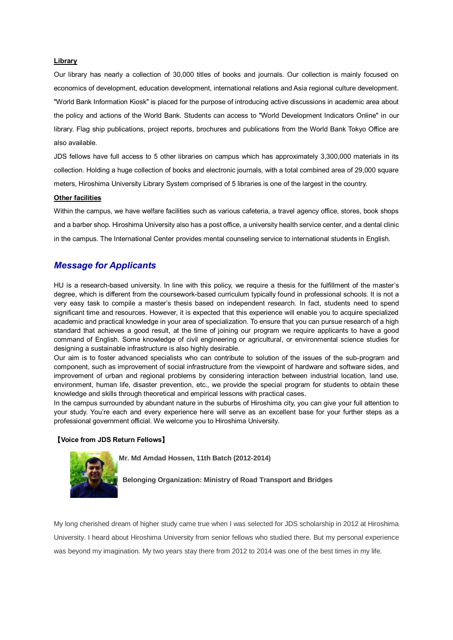#### **Library**

Our library has nearly a collection of 30,000 titles of books and journals. Our collection is mainly focused on economics of development, education development, international relations and Asia regional culture development. "World Bank Information Kiosk" is placed for the purpose of introducing active discussions in academic area about the policy and actions of the World Bank. Students can access to "World Development Indicators Online" in our library. Flag ship publications, project reports, brochures and publications from the World Bank Tokyo Office are also available.

JDS fellows have full access to 5 other libraries on campus which has approximately 3,300,000 materials in its collection. Holding a huge collection of books and electronic journals, with a total combined area of 29,000 square meters, Hiroshima University Library System comprised of 5 libraries is one of the largest in the country.

#### **Other facilities**

Within the campus, we have welfare facilities such as various cafeteria, a travel agency office, stores, book shops and a barber shop. Hiroshima University also has a post office, a university health service center, and a dental clinic in the campus. The International Center provides mental counseling service to international students in English.

### *Message for Applicants*

HU is a research-based university. In line with this policy, we require a thesis for the fulfillment of the master's degree, which is different from the coursework-based curriculum typically found in professional schools. It is not a very easy task to compile a master's thesis based on independent research. In fact, students need to spend significant time and resources. However, it is expected that this experience will enable you to acquire specialized academic and practical knowledge in your area of specialization. To ensure that you can pursue research of a high standard that achieves a good result, at the time of joining our program we require applicants to have a good command of English. Some knowledge of civil engineering or agricultural, or environmental science studies for designing a sustainable infrastructure is also highly desirable.

Our aim is to foster advanced specialists who can contribute to solution of the issues of the sub-program and component, such as improvement of social infrastructure from the viewpoint of hardware and software sides, and improvement of urban and regional problems by considering interaction between industrial location, land use, environment, human life, disaster prevention, etc., we provide the special program for students to obtain these knowledge and skills through theoretical and empirical lessons with practical cases.

In the campus surrounded by abundant nature in the suburbs of Hiroshima city, you can give your full attention to your study. You're each and every experience here will serve as an excellent base for your further steps as a professional government official. We welcome you to Hiroshima University.

#### 【**Voice from JDS Return Fellows**】



**Mr. Md Amdad Hossen, 11th Batch (2012-2014)**

**Belonging Organization: Ministry of Road Transport and Bridges**

My long cherished dream of higher study came true when I was selected for JDS scholarship in 2012 at Hiroshima University. I heard about Hiroshima University from senior fellows who studied there. But my personal experience was beyond my imagination. My two years stay there from 2012 to 2014 was one of the best times in my life.